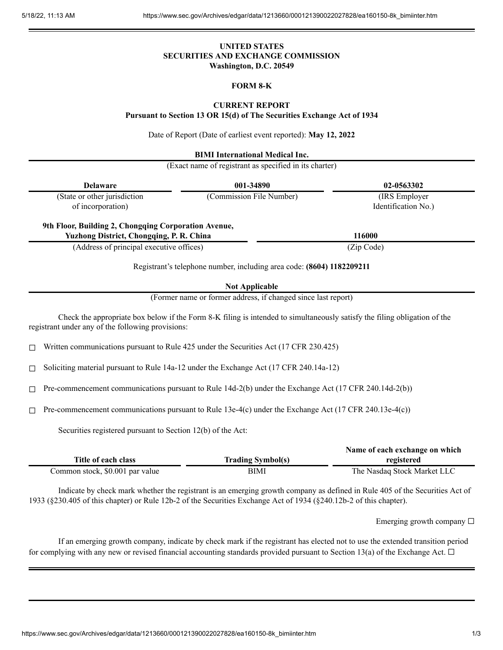### **UNITED STATES SECURITIES AND EXCHANGE COMMISSION Washington, D.C. 20549**

# **FORM 8-K**

## **CURRENT REPORT**

**Pursuant to Section 13 OR 15(d) of The Securities Exchange Act of 1934**

Date of Report (Date of earliest event reported): **May 12, 2022**

**BIMI International Medical Inc.**

(Exact name of registrant as specified in its charter)

| <b>Delaware</b>                                                                                                    | 001-34890                                                             | 02-0563302                                                                                                                                                                                                                                                           |
|--------------------------------------------------------------------------------------------------------------------|-----------------------------------------------------------------------|----------------------------------------------------------------------------------------------------------------------------------------------------------------------------------------------------------------------------------------------------------------------|
| (State or other jurisdiction                                                                                       | (Commission File Number)                                              | (IRS Employer                                                                                                                                                                                                                                                        |
| of incorporation)                                                                                                  |                                                                       | Identification No.)                                                                                                                                                                                                                                                  |
| 9th Floor, Building 2, Chongqing Corporation Avenue,                                                               |                                                                       |                                                                                                                                                                                                                                                                      |
| Yuzhong District, Chongqing, P. R. China                                                                           |                                                                       | 116000                                                                                                                                                                                                                                                               |
| (Address of principal executive offices)                                                                           |                                                                       | (Zip Code)                                                                                                                                                                                                                                                           |
|                                                                                                                    | Registrant's telephone number, including area code: (8604) 1182209211 |                                                                                                                                                                                                                                                                      |
|                                                                                                                    | <b>Not Applicable</b>                                                 |                                                                                                                                                                                                                                                                      |
|                                                                                                                    | (Former name or former address, if changed since last report)         |                                                                                                                                                                                                                                                                      |
| registrant under any of the following provisions:                                                                  |                                                                       | Check the appropriate box below if the Form 8-K filing is intended to simultaneously satisfy the filing obligation of the                                                                                                                                            |
| Written communications pursuant to Rule 425 under the Securities Act (17 CFR 230.425)<br>П                         |                                                                       |                                                                                                                                                                                                                                                                      |
| Soliciting material pursuant to Rule 14a-12 under the Exchange Act (17 CFR 240.14a-12)<br>□                        |                                                                       |                                                                                                                                                                                                                                                                      |
| □                                                                                                                  |                                                                       | Pre-commencement communications pursuant to Rule 14d-2(b) under the Exchange Act (17 CFR 240.14d-2(b))                                                                                                                                                               |
| □                                                                                                                  |                                                                       | Pre-commencement communications pursuant to Rule 13e-4(c) under the Exchange Act (17 CFR 240.13e-4(c))                                                                                                                                                               |
| Securities registered pursuant to Section 12(b) of the Act:                                                        |                                                                       |                                                                                                                                                                                                                                                                      |
| Title of each class                                                                                                | <b>Trading Symbol(s)</b>                                              | Name of each exchange on which<br>registered                                                                                                                                                                                                                         |
| Common stock, \$0.001 par value                                                                                    | <b>BIMI</b>                                                           | The Nasdaq Stock Market LLC                                                                                                                                                                                                                                          |
| 1933 (§230.405 of this chapter) or Rule 12b-2 of the Securities Exchange Act of 1934 (§240.12b-2 of this chapter). |                                                                       | Indicate by check mark whether the registrant is an emerging growth company as defined in Rule 405 of the Securities Act of                                                                                                                                          |
|                                                                                                                    |                                                                       | Emerging growth company $\Box$                                                                                                                                                                                                                                       |
|                                                                                                                    |                                                                       | If an emerging growth company, indicate by check mark if the registrant has elected not to use the extended transition period<br>for complying with any new or revised financial accounting standards provided pursuant to Section 13(a) of the Exchange Act. $\Box$ |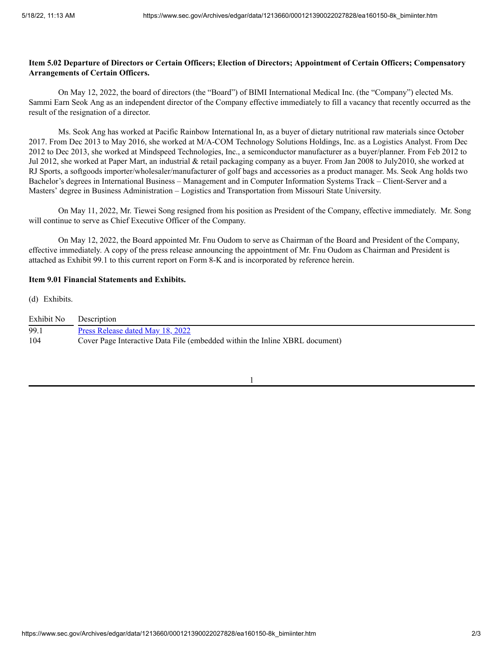### Item 5.02 Departure of Directors or Certain Officers; Election of Directors; Appointment of Certain Officers; Compensatory **Arrangements of Certain Officers.**

On May 12, 2022, the board of directors (the "Board") of BIMI International Medical Inc. (the "Company") elected Ms. Sammi Earn Seok Ang as an independent director of the Company effective immediately to fill a vacancy that recently occurred as the result of the resignation of a director.

Ms. Seok Ang has worked at Pacific Rainbow International In, as a buyer of dietary nutritional raw materials since October 2017. From Dec 2013 to May 2016, she worked at M/A-COM Technology Solutions Holdings, Inc. as a Logistics Analyst. From Dec 2012 to Dec 2013, she worked at Mindspeed Technologies, Inc., a semiconductor manufacturer as a buyer/planner. From Feb 2012 to Jul 2012, she worked at Paper Mart, an industrial & retail packaging company as a buyer. From Jan 2008 to July2010, she worked at RJ Sports, a softgoods importer/wholesaler/manufacturer of golf bags and accessories as a product manager. Ms. Seok Ang holds two Bachelor's degrees in International Business – Management and in Computer Information Systems Track – Client-Server and a Masters' degree in Business Administration – Logistics and Transportation from Missouri State University.

On May 11, 2022, Mr. Tiewei Song resigned from his position as President of the Company, effective immediately. Mr. Song will continue to serve as Chief Executive Officer of the Company.

On May 12, 2022, the Board appointed Mr. Fnu Oudom to serve as Chairman of the Board and President of the Company, effective immediately. A copy of the press release announcing the appointment of Mr. Fnu Oudom as Chairman and President is attached as Exhibit 99.1 to this current report on Form 8-K and is incorporated by reference herein.

#### **Item 9.01 Financial Statements and Exhibits.**

(d) Exhibits.

| Exhibit No | Description                                                                 |
|------------|-----------------------------------------------------------------------------|
| 99.1       | Press Release dated May 18, 2022                                            |
| 104        | Cover Page Interactive Data File (embedded within the Inline XBRL document) |

1